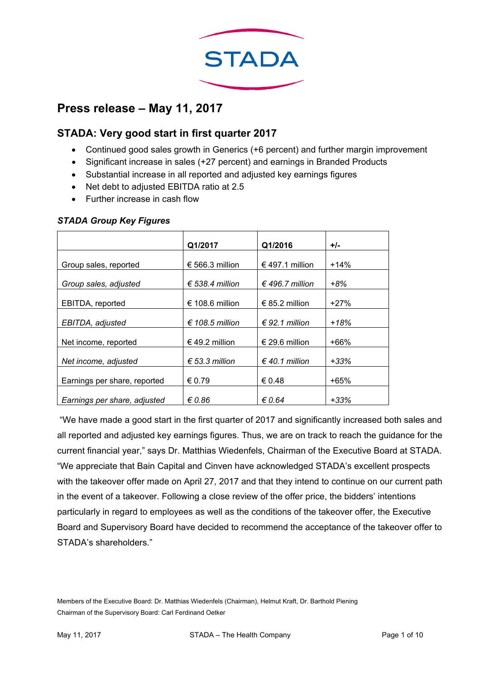

# **Press release – May 11, 2017**

## **STADA: Very good start in first quarter 2017**

- Continued good sales growth in Generics (+6 percent) and further margin improvement
- Significant increase in sales (+27 percent) and earnings in Branded Products
- Substantial increase in all reported and adjusted key earnings figures
- Net debt to adjusted EBITDA ratio at 2.5
- Further increase in cash flow

#### *STADA Group Key Figures*

|                              | Q1/2017                  | Q1/2016                 | +/-    |
|------------------------------|--------------------------|-------------------------|--------|
| Group sales, reported        | € 566.3 million          | € 497.1 million         | $+14%$ |
| Group sales, adjusted        | € 538.4 million          | € 496.7 million         | +8%    |
| EBITDA, reported             | € 108.6 million          | € 85.2 million          | $+27%$ |
| EBITDA, adjusted             | $\epsilon$ 108.5 million | € 92.1 million          | $+18%$ |
| Net income, reported         | € 49.2 million           | € 29.6 million          | $+66%$ |
| Net income, adjusted         | $\epsilon$ 53.3 million  | $\epsilon$ 40.1 million | +33%   |
| Earnings per share, reported | € 0.79                   | € 0.48                  | +65%   |
| Earnings per share, adjusted | $\epsilon$ 0.86          | $\epsilon$ 0.64         | $+33%$ |

 "We have made a good start in the first quarter of 2017 and significantly increased both sales and all reported and adjusted key earnings figures. Thus, we are on track to reach the guidance for the current financial year," says Dr. Matthias Wiedenfels, Chairman of the Executive Board at STADA. "We appreciate that Bain Capital and Cinven have acknowledged STADA's excellent prospects with the takeover offer made on April 27, 2017 and that they intend to continue on our current path in the event of a takeover. Following a close review of the offer price, the bidders' intentions particularly in regard to employees as well as the conditions of the takeover offer, the Executive Board and Supervisory Board have decided to recommend the acceptance of the takeover offer to STADA's shareholders."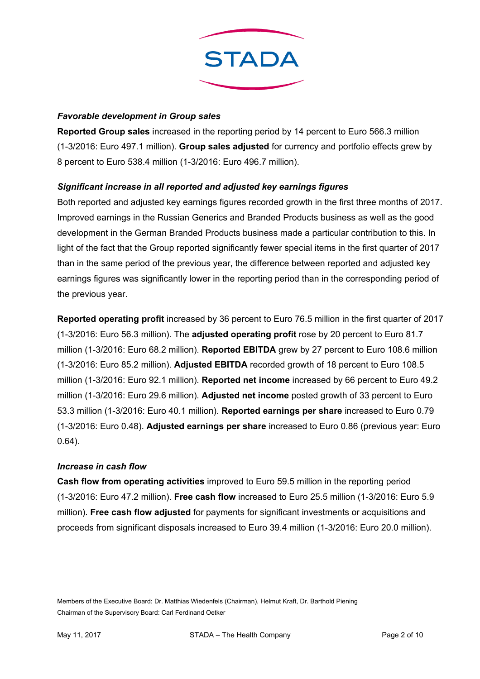

### *Favorable development in Group sales*

**Reported Group sales** increased in the reporting period by 14 percent to Euro 566.3 million (1-3/2016: Euro 497.1 million). **Group sales adjusted** for currency and portfolio effects grew by 8 percent to Euro 538.4 million (1-3/2016: Euro 496.7 million).

### *Significant increase in all reported and adjusted key earnings figures*

Both reported and adjusted key earnings figures recorded growth in the first three months of 2017. Improved earnings in the Russian Generics and Branded Products business as well as the good development in the German Branded Products business made a particular contribution to this. In light of the fact that the Group reported significantly fewer special items in the first quarter of 2017 than in the same period of the previous year, the difference between reported and adjusted key earnings figures was significantly lower in the reporting period than in the corresponding period of the previous year.

**Reported operating profit** increased by 36 percent to Euro 76.5 million in the first quarter of 2017 (1-3/2016: Euro 56.3 million). The **adjusted operating profit** rose by 20 percent to Euro 81.7 million (1-3/2016: Euro 68.2 million). **Reported EBITDA** grew by 27 percent to Euro 108.6 million (1-3/2016: Euro 85.2 million). **Adjusted EBITDA** recorded growth of 18 percent to Euro 108.5 million (1-3/2016: Euro 92.1 million). **Reported net income** increased by 66 percent to Euro 49.2 million (1-3/2016: Euro 29.6 million). **Adjusted net income** posted growth of 33 percent to Euro 53.3 million (1-3/2016: Euro 40.1 million). **Reported earnings per share** increased to Euro 0.79 (1-3/2016: Euro 0.48). **Adjusted earnings per share** increased to Euro 0.86 (previous year: Euro 0.64).

#### *Increase in cash flow*

**Cash flow from operating activities** improved to Euro 59.5 million in the reporting period (1-3/2016: Euro 47.2 million). **Free cash flow** increased to Euro 25.5 million (1-3/2016: Euro 5.9 million). **Free cash flow adjusted** for payments for significant investments or acquisitions and proceeds from significant disposals increased to Euro 39.4 million (1-3/2016: Euro 20.0 million).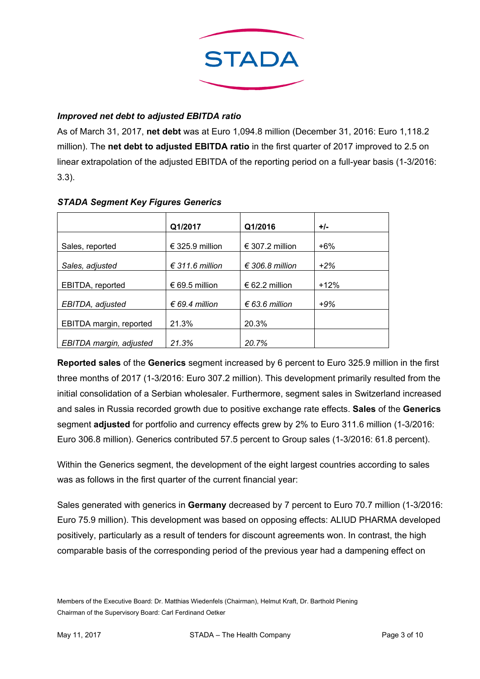

### *Improved net debt to adjusted EBITDA ratio*

As of March 31, 2017, **net debt** was at Euro 1,094.8 million (December 31, 2016: Euro 1,118.2 million). The **net debt to adjusted EBITDA ratio** in the first quarter of 2017 improved to 2.5 on linear extrapolation of the adjusted EBITDA of the reporting period on a full-year basis (1-3/2016: 3.3).

|                         | Q1/2017                  | Q1/2016                  | $+/-$  |
|-------------------------|--------------------------|--------------------------|--------|
|                         |                          |                          |        |
| Sales, reported         | € 325.9 million          | € 307.2 million          | $+6%$  |
|                         |                          |                          |        |
| Sales, adjusted         | $\epsilon$ 311.6 million | $\epsilon$ 306.8 million | $+2%$  |
|                         |                          |                          |        |
| EBITDA, reported        | € 69.5 million           | € 62.2 million           | $+12%$ |
|                         |                          |                          |        |
| EBITDA, adjusted        | € 69.4 million           | € 63.6 million           | $+9%$  |
|                         |                          |                          |        |
| EBITDA margin, reported | 21.3%                    | 20.3%                    |        |
|                         |                          |                          |        |
| EBITDA margin, adjusted | 21.3%                    | 20.7%                    |        |

### *STADA Segment Key Figures Generics*

**Reported sales** of the **Generics** segment increased by 6 percent to Euro 325.9 million in the first three months of 2017 (1-3/2016: Euro 307.2 million). This development primarily resulted from the initial consolidation of a Serbian wholesaler. Furthermore, segment sales in Switzerland increased and sales in Russia recorded growth due to positive exchange rate effects. **Sales** of the **Generics** segment **adjusted** for portfolio and currency effects grew by 2% to Euro 311.6 million (1-3/2016: Euro 306.8 million). Generics contributed 57.5 percent to Group sales (1-3/2016: 61.8 percent).

Within the Generics segment, the development of the eight largest countries according to sales was as follows in the first quarter of the current financial year:

Sales generated with generics in **Germany** decreased by 7 percent to Euro 70.7 million (1-3/2016: Euro 75.9 million). This development was based on opposing effects: ALIUD PHARMA developed positively, particularly as a result of tenders for discount agreements won. In contrast, the high comparable basis of the corresponding period of the previous year had a dampening effect on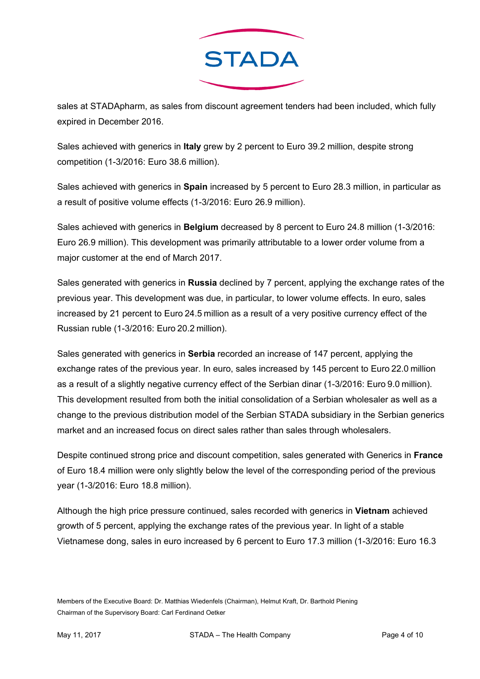

sales at STADApharm, as sales from discount agreement tenders had been included, which fully expired in December 2016.

Sales achieved with generics in **Italy** grew by 2 percent to Euro 39.2 million, despite strong competition (1-3/2016: Euro 38.6 million).

Sales achieved with generics in **Spain** increased by 5 percent to Euro 28.3 million, in particular as a result of positive volume effects (1-3/2016: Euro 26.9 million).

Sales achieved with generics in **Belgium** decreased by 8 percent to Euro 24.8 million (1-3/2016: Euro 26.9 million). This development was primarily attributable to a lower order volume from a major customer at the end of March 2017.

Sales generated with generics in **Russia** declined by 7 percent, applying the exchange rates of the previous year. This development was due, in particular, to lower volume effects. In euro, sales increased by 21 percent to Euro 24.5 million as a result of a very positive currency effect of the Russian ruble (1-3/2016: Euro 20.2 million).

Sales generated with generics in **Serbia** recorded an increase of 147 percent, applying the exchange rates of the previous year. In euro, sales increased by 145 percent to Euro 22.0 million as a result of a slightly negative currency effect of the Serbian dinar (1-3/2016: Euro 9.0 million). This development resulted from both the initial consolidation of a Serbian wholesaler as well as a change to the previous distribution model of the Serbian STADA subsidiary in the Serbian generics market and an increased focus on direct sales rather than sales through wholesalers.

Despite continued strong price and discount competition, sales generated with Generics in **France** of Euro 18.4 million were only slightly below the level of the corresponding period of the previous year (1-3/2016: Euro 18.8 million).

Although the high price pressure continued, sales recorded with generics in **Vietnam** achieved growth of 5 percent, applying the exchange rates of the previous year. In light of a stable Vietnamese dong, sales in euro increased by 6 percent to Euro 17.3 million (1-3/2016: Euro 16.3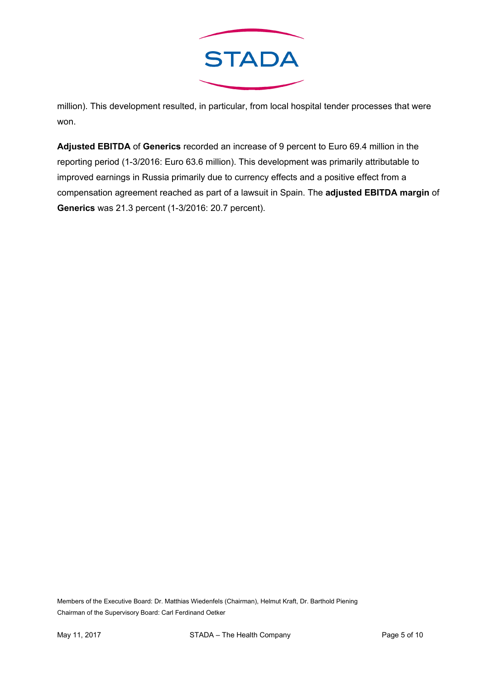

million). This development resulted, in particular, from local hospital tender processes that were won.

**Adjusted EBITDA** of **Generics** recorded an increase of 9 percent to Euro 69.4 million in the reporting period (1-3/2016: Euro 63.6 million). This development was primarily attributable to improved earnings in Russia primarily due to currency effects and a positive effect from a compensation agreement reached as part of a lawsuit in Spain. The **adjusted EBITDA margin** of **Generics** was 21.3 percent (1-3/2016: 20.7 percent).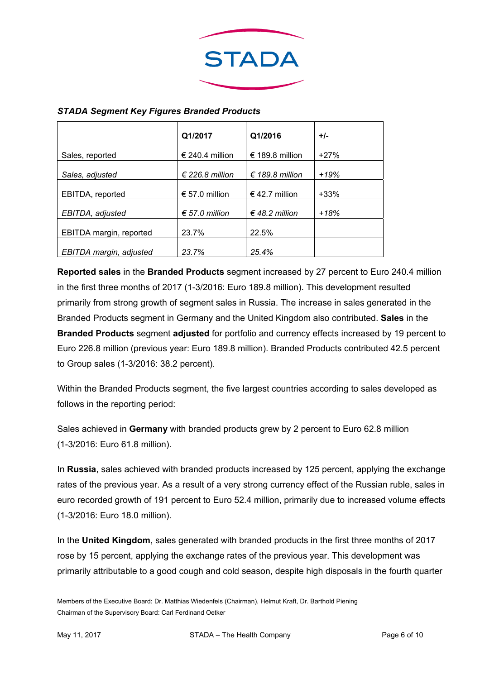

|                         | Q1/2017                  | Q1/2016         | $+/-$  |
|-------------------------|--------------------------|-----------------|--------|
| Sales, reported         | € 240.4 million          | € 189.8 million | $+27%$ |
| Sales, adjusted         | $\epsilon$ 226.8 million | € 189.8 million | $+19%$ |
| EBITDA, reported        | € 57.0 million           | € 42.7 million  | $+33%$ |
| EBITDA, adjusted        | € 57.0 million           | € 48.2 million  | $+18%$ |
| EBITDA margin, reported | 23.7%                    | 22.5%           |        |
| EBITDA margin, adjusted | 23.7%                    | 25.4%           |        |

### *STADA Segment Key Figures Branded Products*

**Reported sales** in the **Branded Products** segment increased by 27 percent to Euro 240.4 million in the first three months of 2017 (1-3/2016: Euro 189.8 million). This development resulted primarily from strong growth of segment sales in Russia. The increase in sales generated in the Branded Products segment in Germany and the United Kingdom also contributed. **Sales** in the **Branded Products** segment **adjusted** for portfolio and currency effects increased by 19 percent to Euro 226.8 million (previous year: Euro 189.8 million). Branded Products contributed 42.5 percent to Group sales (1-3/2016: 38.2 percent).

Within the Branded Products segment, the five largest countries according to sales developed as follows in the reporting period:

Sales achieved in **Germany** with branded products grew by 2 percent to Euro 62.8 million (1-3/2016: Euro 61.8 million).

In **Russia**, sales achieved with branded products increased by 125 percent, applying the exchange rates of the previous year. As a result of a very strong currency effect of the Russian ruble, sales in euro recorded growth of 191 percent to Euro 52.4 million, primarily due to increased volume effects (1-3/2016: Euro 18.0 million).

In the **United Kingdom**, sales generated with branded products in the first three months of 2017 rose by 15 percent, applying the exchange rates of the previous year. This development was primarily attributable to a good cough and cold season, despite high disposals in the fourth quarter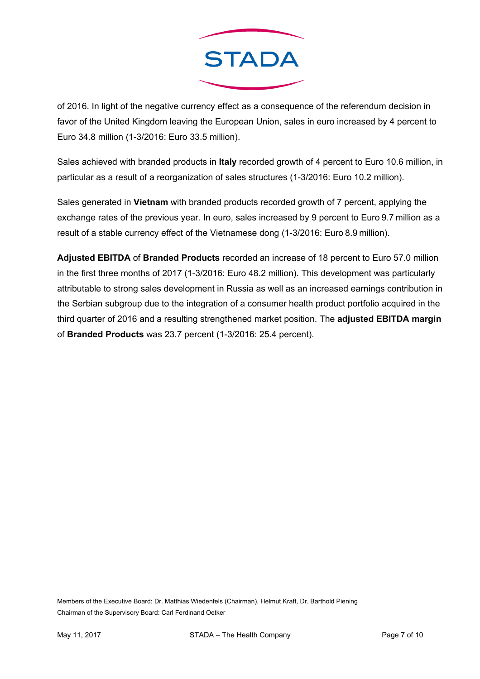

of 2016. In light of the negative currency effect as a consequence of the referendum decision in favor of the United Kingdom leaving the European Union, sales in euro increased by 4 percent to Euro 34.8 million (1-3/2016: Euro 33.5 million).

Sales achieved with branded products in **Italy** recorded growth of 4 percent to Euro 10.6 million, in particular as a result of a reorganization of sales structures (1-3/2016: Euro 10.2 million).

Sales generated in **Vietnam** with branded products recorded growth of 7 percent, applying the exchange rates of the previous year. In euro, sales increased by 9 percent to Euro 9.7 million as a result of a stable currency effect of the Vietnamese dong (1-3/2016: Euro 8.9 million).

**Adjusted EBITDA** of **Branded Products** recorded an increase of 18 percent to Euro 57.0 million in the first three months of 2017 (1-3/2016: Euro 48.2 million). This development was particularly attributable to strong sales development in Russia as well as an increased earnings contribution in the Serbian subgroup due to the integration of a consumer health product portfolio acquired in the third quarter of 2016 and a resulting strengthened market position. The **adjusted EBITDA margin** of **Branded Products** was 23.7 percent (1-3/2016: 25.4 percent).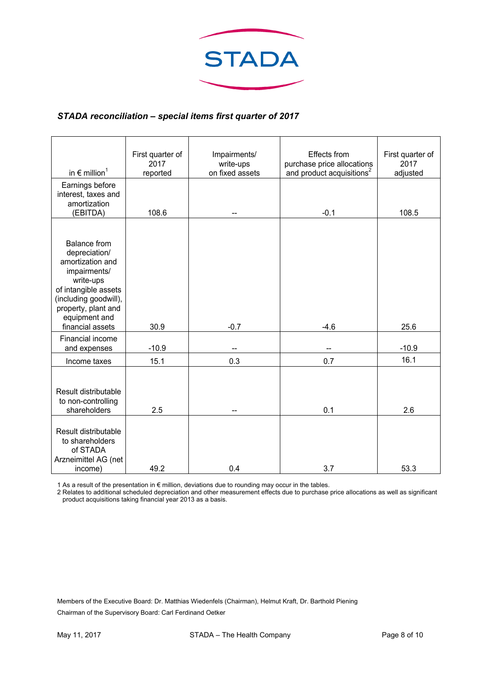

### *STADA reconciliation – special items first quarter of 2017*

|                                                                                                                                                                                                    | First quarter of | Impairments/    | Effects from                          | First quarter of |
|----------------------------------------------------------------------------------------------------------------------------------------------------------------------------------------------------|------------------|-----------------|---------------------------------------|------------------|
|                                                                                                                                                                                                    | 2017             | write-ups       | purchase price allocations            | 2017             |
| in $\epsilon$ million <sup>1</sup>                                                                                                                                                                 | reported         | on fixed assets | and product acquisitions <sup>2</sup> | adjusted         |
| Earnings before<br>interest, taxes and<br>amortization<br>(EBITDA)                                                                                                                                 | 108.6            |                 | $-0.1$                                | 108.5            |
|                                                                                                                                                                                                    |                  |                 |                                       |                  |
| <b>Balance from</b><br>depreciation/<br>amortization and<br>impairments/<br>write-ups<br>of intangible assets<br>(including goodwill),<br>property, plant and<br>equipment and<br>financial assets | 30.9             | $-0.7$          | $-4.6$                                | 25.6             |
| Financial income                                                                                                                                                                                   |                  |                 |                                       |                  |
| and expenses                                                                                                                                                                                       | $-10.9$          |                 |                                       | $-10.9$          |
| Income taxes                                                                                                                                                                                       | 15.1             | 0.3             | 0.7                                   | 16.1             |
| Result distributable<br>to non-controlling<br>shareholders                                                                                                                                         | 2.5              |                 | 0.1                                   | 2.6              |
| Result distributable<br>to shareholders<br>of STADA<br>Arzneimittel AG (net<br>income)                                                                                                             | 49.2             | 0.4             | 3.7                                   | 53.3             |

1 As a result of the presentation in € million, deviations due to rounding may occur in the tables.

2 Relates to additional scheduled depreciation and other measurement effects due to purchase price allocations as well as significant product acquisitions taking financial year 2013 as a basis.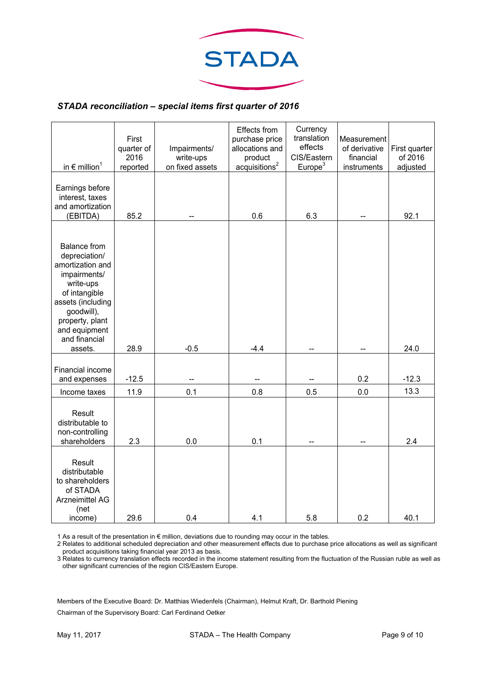

#### *STADA reconciliation – special items first quarter of 2016*

| in $\epsilon$ million <sup>1</sup>                                                                                                                                                                        | First<br>quarter of<br>2016<br>reported | Impairments/<br>write-ups<br>on fixed assets | Effects from<br>purchase price<br>allocations and<br>product<br>acquisitions <sup>2</sup> | Currency<br>translation<br>effects<br>CIS/Eastern<br>Europe <sup>3</sup> | Measurement<br>of derivative<br>financial<br>instruments | First quarter<br>of 2016<br>adjusted |
|-----------------------------------------------------------------------------------------------------------------------------------------------------------------------------------------------------------|-----------------------------------------|----------------------------------------------|-------------------------------------------------------------------------------------------|--------------------------------------------------------------------------|----------------------------------------------------------|--------------------------------------|
| Earnings before<br>interest, taxes<br>and amortization<br>(EBITDA)                                                                                                                                        | 85.2                                    |                                              | 0.6                                                                                       | 6.3                                                                      |                                                          | 92.1                                 |
| <b>Balance from</b><br>depreciation/<br>amortization and<br>impairments/<br>write-ups<br>of intangible<br>assets (including<br>goodwill),<br>property, plant<br>and equipment<br>and financial<br>assets. | 28.9                                    | $-0.5$                                       | $-4.4$                                                                                    |                                                                          |                                                          | 24.0                                 |
| Financial income<br>and expenses                                                                                                                                                                          | $-12.5$                                 |                                              |                                                                                           |                                                                          | 0.2                                                      | $-12.3$                              |
| Income taxes                                                                                                                                                                                              | 11.9                                    | 0.1                                          | 0.8                                                                                       | 0.5                                                                      | 0.0                                                      | 13.3                                 |
| Result<br>distributable to<br>non-controlling<br>shareholders                                                                                                                                             | 2.3                                     | 0.0                                          | 0.1                                                                                       |                                                                          |                                                          | 2.4                                  |
| Result<br>distributable<br>to shareholders<br>of STADA<br><b>Arzneimittel AG</b><br>(net<br>income)                                                                                                       | 29.6                                    | 0.4                                          | 4.1                                                                                       | 5.8                                                                      | 0.2                                                      | 40.1                                 |

1 As a result of the presentation in € million, deviations due to rounding may occur in the tables.

2 Relates to additional scheduled depreciation and other measurement effects due to purchase price allocations as well as significant product acquisitions taking financial year 2013 as basis.

3 Relates to currency translation effects recorded in the income statement resulting from the fluctuation of the Russian ruble as well as other significant currencies of the region CIS/Eastern Europe.